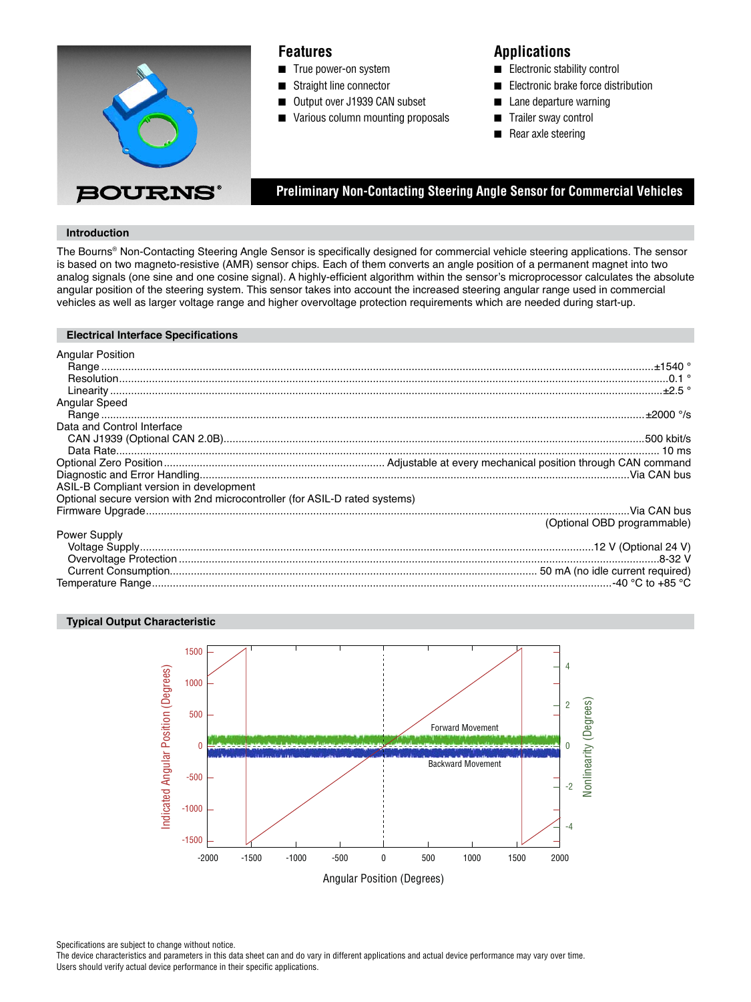

## **Features**

- True power-on system
- Straight line connector
- Output over J1939 CAN subset
- Various column mounting proposals

# **Applications**

- Electronic stability control
- Electronic brake force distribution
- Lane departure warning
- Trailer sway control
- Rear axle steering

 **Preliminary Non-Contacting Steering Angle Sensor for Commercial Vehicles**

## **Introduction**

The Bourns® Non-Contacting Steering Angle Sensor is specifically designed for commercial vehicle steering applications. The sensor is based on two magneto-resistive (AMR) sensor chips. Each of them converts an angle position of a permanent magnet into two analog signals (one sine and one cosine signal). A highly-efficient algorithm within the sensor's microprocessor calculates the absolute angular position of the steering system. This sensor takes into account the increased steering angular range used in commercial vehicles as well as larger voltage range and higher overvoltage protection requirements which are needed during start-up.

#### **Electrical Interface Specifications**

| <b>Angular Position</b>                                                     |  |
|-----------------------------------------------------------------------------|--|
|                                                                             |  |
|                                                                             |  |
|                                                                             |  |
| Angular Speed                                                               |  |
|                                                                             |  |
| Data and Control Interface                                                  |  |
|                                                                             |  |
|                                                                             |  |
|                                                                             |  |
|                                                                             |  |
| ASIL-B Compliant version in development                                     |  |
| Optional secure version with 2nd microcontroller (for ASIL-D rated systems) |  |
|                                                                             |  |
| (Optional OBD programmable)                                                 |  |
| Power Supply                                                                |  |
|                                                                             |  |
|                                                                             |  |
|                                                                             |  |
|                                                                             |  |

#### **Typical Output Characteristic**



Specifications are subject to change without notice.

The device characteristics and parameters in this data sheet can and do vary in different applications and actual device performance may vary over time. Users should verify actual device performance in their specific applications.